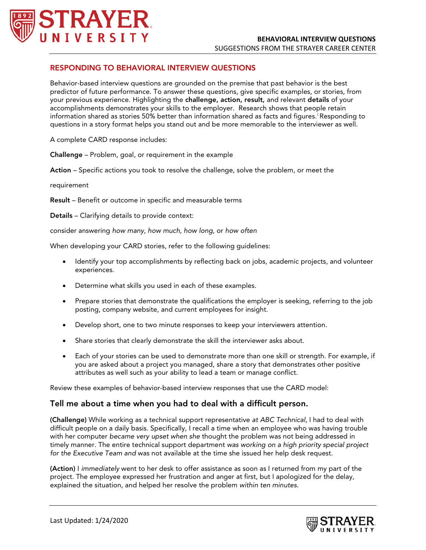

## RESPONDING TO BEHAVIORAL INTERVIEW QUESTIONS

Behavior-based interview questions are grounded on the premise that past behavior is the best predictor of future performance. To answer these questions, give specific examples, or stories, from your previous experience. Highlighting the challenge, action, result, and relevant details of your accomplishments demonstrates your skills to the employer. Research shows that people retain [i](#page-1-0)nformation shared as stories 50% better than information shared as facts and figures.'Responding to questions in a story format helps you stand out and be more memorable to the interviewer as well.

A complete CARD response includes:

Challenge – Problem, goal, or requirement in the example

Action – Specific actions you took to resolve the challenge, solve the problem, or meet the

requirement

Result – Benefit or outcome in specific and measurable terms

Details – Clarifying details to provide context:

consider answering *how many, how much, how long,* or *how often* 

When developing your CARD stories, refer to the following guidelines:

- Identify your top accomplishments by reflecting back on jobs, academic projects, and volunteer experiences.
- Determine what skills you used in each of these examples.
- Prepare stories that demonstrate the qualifications the employer is seeking, referring to the job posting, company website, and current employees for insight.
- Develop short, one to two minute responses to keep your interviewers attention.
- Share stories that clearly demonstrate the skill the interviewer asks about.
- Each of your stories can be used to demonstrate more than one skill or strength. For example, if you are asked about a project you managed, share a story that demonstrates other positive attributes as well such as your ability to lead a team or manage conflict.

Review these examples of behavior-based interview responses that use the CARD model:

## Tell me about a time when you had to deal with a difficult person.

(Challenge) While working as a technical support representative *at ABC Technical*, I had to deal with difficult people on a daily basis. Specifically, I recall a time when an employee who was having trouble with her computer *became very upset when she* thought the problem was not being addressed in timely manner. The entire technical support department *was working on a high priority special project for the Executive Team and* was not available at the time she issued her help desk request.

(Action) I *immediately* went to her desk to offer assistance as soon as I returned from my part of the project. The employee expressed her frustration and anger at first, but I apologized for the delay, explained the situation, and helped her resolve the problem *within ten minutes*.